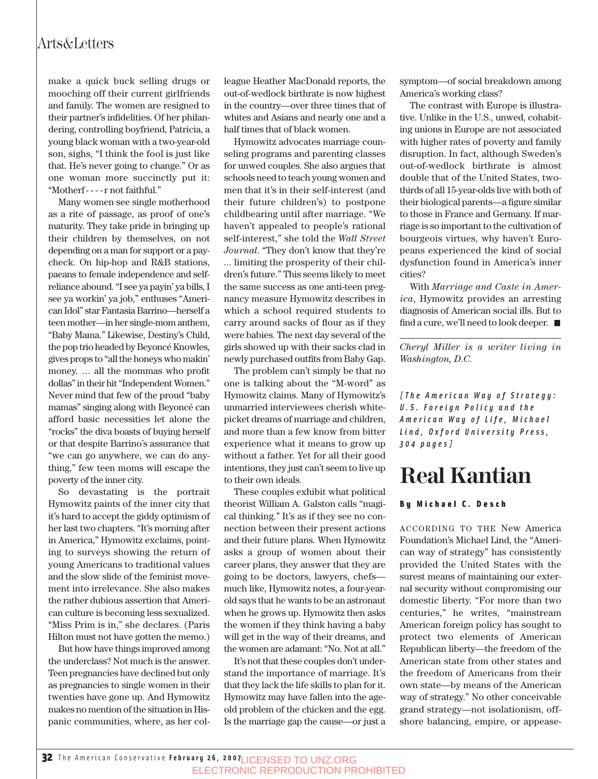make a quick buck selling drugs or mooching off their current girlfriends and family. The women are resigned to their partner's infidelities. Of her philandering, controlling boyfriend, Patricia, a young black woman with a two-year-old son, sighs, "I think the fool is just like that. He's never going to change." Or as one woman more succinctly put it: "Motherf - - - - r not faithful."

Many women see single motherhood as a rite of passage, as proof of one's maturity. They take pride in bringing up their children by themselves, on not depending on a man for support or a paycheck. On hip-hop and R&B stations, paeans to female independence and selfreliance abound. "I see ya payin' ya bills, I see ya workin' ya job," enthuses "American Idol" star Fantasia Barrino—herself a teen mother—in her single-mom anthem, "Baby Mama." Likewise, Destiny's Child, the pop trio headed by Beyoncé Knowles, gives props to "all the honeys who makin' money. … all the mommas who profit dollas" in their hit "Independent Women." Never mind that few of the proud "baby mamas" singing along with Beyoncé can afford basic necessities let alone the "rocks" the diva boasts of buying herself or that despite Barrino's assurance that "we can go anywhere, we can do anything," few teen moms will escape the poverty of the inner city.

So devastating is the portrait Hymowitz paints of the inner city that it's hard to accept the giddy optimism of her last two chapters. "It's morning after in America," Hymowitz exclaims, pointing to surveys showing the return of young Americans to traditional values and the slow slide of the feminist movement into irrelevance. She also makes the rather dubious assertion that American culture is becoming less sexualized. "Miss Prim is in," she declares. (Paris Hilton must not have gotten the memo.)

But how have things improved among the underclass? Not much is the answer. Teen pregnancies have declined but only as pregnancies to single women in their twenties have gone up. And Hymowitz makes no mention of the situation in Hispanic communities, where, as her colleague Heather MacDonald reports, the out-of-wedlock birthrate is now highest in the country—over three times that of whites and Asians and nearly one and a half times that of black women.

Hymowitz advocates marriage counseling programs and parenting classes for unwed couples. She also argues that schools need to teach young women and men that it's in their self-interest (and their future children's) to postpone childbearing until after marriage. "We haven't appealed to people's rational self-interest," she told the *Wall Street Journal*. "They don't know that they're ... limiting the prosperity of their children's future." This seems likely to meet the same success as one anti-teen pregnancy measure Hymowitz describes in which a school required students to carry around sacks of flour as if they were babies. The next day several of the girls showed up with their sacks clad in newly purchased outfits from Baby Gap.

The problem can't simply be that no one is talking about the "M-word" as Hymowitz claims. Many of Hymowitz's unmarried interviewees cherish whitepicket dreams of marriage and children, and more than a few know from bitter experience what it means to grow up without a father. Yet for all their good intentions, they just can't seem to live up to their own ideals.

These couples exhibit what political theorist William A. Galston calls "magical thinking." It's as if they see no connection between their present actions and their future plans. When Hymowitz asks a group of women about their career plans, they answer that they are going to be doctors, lawyers, chefs much like, Hymowitz notes, a four-yearold says that he wants to be an astronaut when he grows up. Hymowitz then asks the women if they think having a baby will get in the way of their dreams, and the women are adamant: "No. Not at all."

It's not that these couples don't understand the importance of marriage. It's that they lack the life skills to plan for it. Hymowitz may have fallen into the ageold problem of the chicken and the egg. Is the marriage gap the cause—or just a symptom—of social breakdown among America's working class?

The contrast with Europe is illustrative. Unlike in the U.S., unwed, cohabiting unions in Europe are not associated with higher rates of poverty and family disruption. In fact, although Sweden's out-of-wedlock birthrate is almost double that of the United States, twothirds of all 15-year-olds live with both of their biological parents—a figure similar to those in France and Germany. If marriage is so important to the cultivation of bourgeois virtues, why haven't Europeans experienced the kind of social dysfunction found in America's inner cities?

With *Marriage and Caste in America*, Hymowitz provides an arresting diagnosis of American social ills. But to find a cure, we'll need to look deeper.  $\blacksquare$ 

*Cheryl Miller is a writer living in Washington, D.C.*

*[The American Way of Strategy: U.S. Foreign Policy and the American Way of Life, Michael Lind, Oxford University Press, 304 pages]*

## **Real Kantian**

#### By Michael C. Desch

ACCORDING TO THE New America Foundation's Michael Lind, the "American way of strategy" has consistently provided the United States with the surest means of maintaining our external security without compromising our domestic liberty. "For more than two centuries," he writes, "mainstream American foreign policy has sought to protect two elements of American Republican liberty—the freedom of the American state from other states and the freedom of Americans from their own state—by means of the American way of strategy." No other conceivable grand strategy—not isolationism, offshore balancing, empire, or appease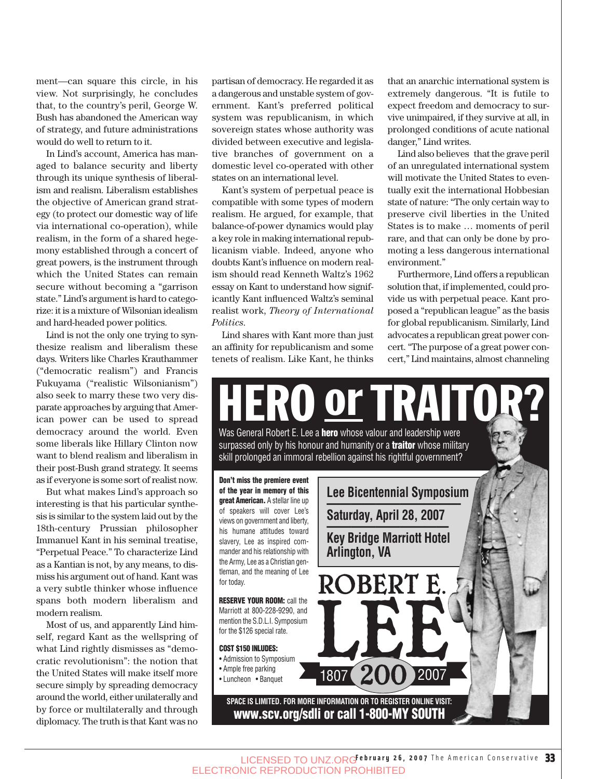ment—can square this circle, in his view. Not surprisingly, he concludes that, to the country's peril, George W. Bush has abandoned the American way of strategy, and future administrations would do well to return to it.

In Lind's account, America has managed to balance security and liberty through its unique synthesis of liberalism and realism. Liberalism establishes the objective of American grand strategy (to protect our domestic way of life via international co-operation), while realism, in the form of a shared hegemony established through a concert of great powers, is the instrument through which the United States can remain secure without becoming a "garrison state." Lind's argument is hard to categorize: it is a mixture of Wilsonian idealism and hard-headed power politics.

Lind is not the only one trying to synthesize realism and liberalism these days. Writers like Charles Krauthammer ("democratic realism") and Francis Fukuyama ("realistic Wilsonianism") also seek to marry these two very disparate approaches by arguing that American power can be used to spread democracy around the world. Even some liberals like Hillary Clinton now want to blend realism and liberalism in their post-Bush grand strategy. It seems as if everyone is some sort of realist now.

But what makes Lind's approach so interesting is that his particular synthesis is similar to the system laid out by the 18th-century Prussian philosopher Immanuel Kant in his seminal treatise, "Perpetual Peace." To characterize Lind as a Kantian is not, by any means, to dismiss his argument out of hand. Kant was a very subtle thinker whose influence spans both modern liberalism and modern realism.

Most of us, and apparently Lind himself, regard Kant as the wellspring of what Lind rightly dismisses as "democratic revolutionism": the notion that the United States will make itself more secure simply by spreading democracy around the world, either unilaterally and by force or multilaterally and through diplomacy. The truth is that Kant was no partisan of democracy. He regarded it as a dangerous and unstable system of government. Kant's preferred political system was republicanism, in which sovereign states whose authority was divided between executive and legislative branches of government on a domestic level co-operated with other states on an international level.

Kant's system of perpetual peace is compatible with some types of modern realism. He argued, for example, that balance-of-power dynamics would play a key role in making international republicanism viable. Indeed, anyone who doubts Kant's influence on modern realism should read Kenneth Waltz's 1962 essay on Kant to understand how significantly Kant influenced Waltz's seminal realist work, *Theory of International Politics*.

Lind shares with Kant more than just an affinity for republicanism and some tenets of realism. Like Kant, he thinks that an anarchic international system is extremely dangerous. "It is futile to expect freedom and democracy to survive unimpaired, if they survive at all, in prolonged conditions of acute national danger," Lind writes.

Lind also believes that the grave peril of an unregulated international system will motivate the United States to eventually exit the international Hobbesian state of nature: "The only certain way to preserve civil liberties in the United States is to make … moments of peril rare, and that can only be done by promoting a less dangerous international environment."

Furthermore, Lind offers a republican solution that, if implemented, could provide us with perpetual peace. Kant proposed a "republican league" as the basis for global republicanism. Similarly, Lind advocates a republican great power concert. "The purpose of a great power concert," Lind maintains, almost channeling

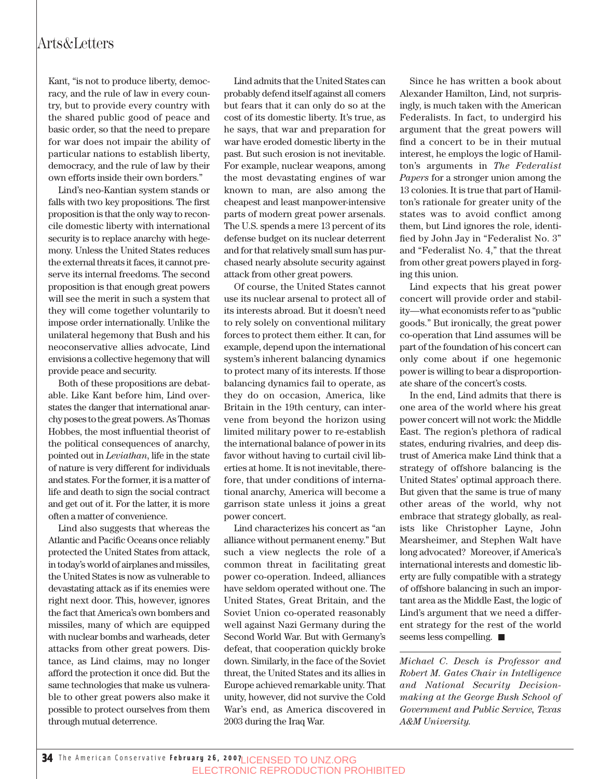#### Arts&Letters

Kant, "is not to produce liberty, democracy, and the rule of law in every country, but to provide every country with the shared public good of peace and basic order, so that the need to prepare for war does not impair the ability of particular nations to establish liberty, democracy, and the rule of law by their own efforts inside their own borders."

Lind's neo-Kantian system stands or falls with two key propositions. The first proposition is that the only way to reconcile domestic liberty with international security is to replace anarchy with hegemony. Unless the United States reduces the external threats it faces, it cannot preserve its internal freedoms. The second proposition is that enough great powers will see the merit in such a system that they will come together voluntarily to impose order internationally. Unlike the unilateral hegemony that Bush and his neoconservative allies advocate, Lind envisions a collective hegemony that will provide peace and security.

Both of these propositions are debatable. Like Kant before him, Lind overstates the danger that international anarchy poses to the great powers. As Thomas Hobbes, the most influential theorist of the political consequences of anarchy, pointed out in *Leviathan*, life in the state of nature is very different for individuals and states. For the former, it is a matter of life and death to sign the social contract and get out of it. For the latter, it is more often a matter of convenience.

Lind also suggests that whereas the Atlantic and Pacific Oceans once reliably protected the United States from attack, in today's world of airplanes and missiles, the United States is now as vulnerable to devastating attack as if its enemies were right next door. This, however, ignores the fact that America's own bombers and missiles, many of which are equipped with nuclear bombs and warheads, deter attacks from other great powers. Distance, as Lind claims, may no longer afford the protection it once did. But the same technologies that make us vulnerable to other great powers also make it possible to protect ourselves from them through mutual deterrence.

Lind admits that the United States can probably defend itself against all comers but fears that it can only do so at the cost of its domestic liberty. It's true, as he says, that war and preparation for war have eroded domestic liberty in the past. But such erosion is not inevitable. For example, nuclear weapons, among the most devastating engines of war known to man, are also among the cheapest and least manpower-intensive parts of modern great power arsenals. The U.S. spends a mere 13 percent of its defense budget on its nuclear deterrent and for that relatively small sum has purchased nearly absolute security against attack from other great powers.

Of course, the United States cannot use its nuclear arsenal to protect all of its interests abroad. But it doesn't need to rely solely on conventional military forces to protect them either. It can, for example, depend upon the international system's inherent balancing dynamics to protect many of its interests. If those balancing dynamics fail to operate, as they do on occasion, America, like Britain in the 19th century, can intervene from beyond the horizon using limited military power to re-establish the international balance of power in its favor without having to curtail civil liberties at home. It is not inevitable, therefore, that under conditions of international anarchy, America will become a garrison state unless it joins a great power concert.

Lind characterizes his concert as "an alliance without permanent enemy." But such a view neglects the role of a common threat in facilitating great power co-operation. Indeed, alliances have seldom operated without one. The United States, Great Britain, and the Soviet Union co-operated reasonably well against Nazi Germany during the Second World War. But with Germany's defeat, that cooperation quickly broke down. Similarly, in the face of the Soviet threat, the United States and its allies in Europe achieved remarkable unity. That unity, however, did not survive the Cold War's end, as America discovered in 2003 during the Iraq War.

Since he has written a book about Alexander Hamilton, Lind, not surprisingly, is much taken with the American Federalists. In fact, to undergird his argument that the great powers will find a concert to be in their mutual interest, he employs the logic of Hamilton's arguments in *The Federalist Papers* for a stronger union among the 13 colonies. It is true that part of Hamilton's rationale for greater unity of the states was to avoid conflict among them, but Lind ignores the role, identified by John Jay in "Federalist No. 3" and "Federalist No. 4," that the threat from other great powers played in forging this union.

Lind expects that his great power concert will provide order and stability—what economists refer to as "public goods." But ironically, the great power co-operation that Lind assumes will be part of the foundation of his concert can only come about if one hegemonic power is willing to bear a disproportionate share of the concert's costs.

In the end, Lind admits that there is one area of the world where his great power concert will not work: the Middle East. The region's plethora of radical states, enduring rivalries, and deep distrust of America make Lind think that a strategy of offshore balancing is the United States' optimal approach there. But given that the same is true of many other areas of the world, why not embrace that strategy globally, as realists like Christopher Layne, John Mearsheimer, and Stephen Walt have long advocated? Moreover, if America's international interests and domestic liberty are fully compatible with a strategy of offshore balancing in such an important area as the Middle East, the logic of Lind's argument that we need a different strategy for the rest of the world seems less compelling.  $\blacksquare$ 

*Michael C. Desch is Professor and Robert M. Gates Chair in Intelligence and National Security Decisionmaking at the George Bush School of Government and Public Service, Texas A&M University.*